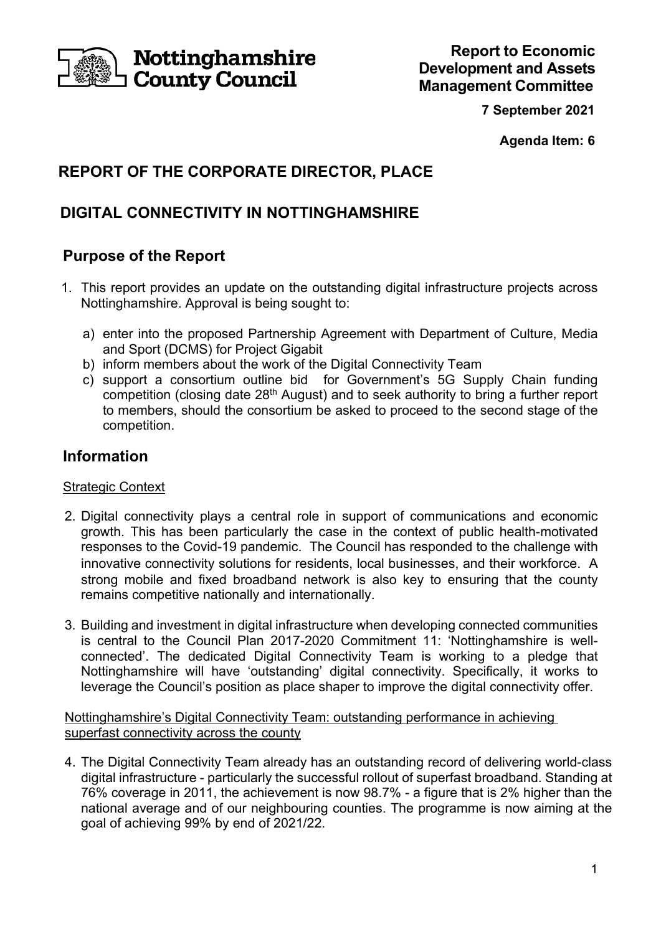

Nottinghamshire **County Council** 

**7 September 2021** 

**Agenda Item: 6** 

# **REPORT OF THE CORPORATE DIRECTOR, PLACE**

# **DIGITAL CONNECTIVITY IN NOTTINGHAMSHIRE**

## **Purpose of the Report**

- 1. This report provides an update on the outstanding digital infrastructure projects across Nottinghamshire. Approval is being sought to:
	- a) enter into the proposed Partnership Agreement with Department of Culture, Media and Sport (DCMS) for Project Gigabit
	- b) inform members about the work of the Digital Connectivity Team
	- c) support a consortium outline bid for Government's 5G Supply Chain funding competition (closing date 28th August) and to seek authority to bring a further report to members, should the consortium be asked to proceed to the second stage of the competition.

## **Information**

## **Strategic Context**

- 2. Digital connectivity plays a central role in support of communications and economic growth. This has been particularly the case in the context of public health-motivated responses to the Covid-19 pandemic. The Council has responded to the challenge with innovative connectivity solutions for residents, local businesses, and their workforce. A strong mobile and fixed broadband network is also key to ensuring that the county remains competitive nationally and internationally.
- 3. Building and investment in digital infrastructure when developing connected communities is central to the Council Plan 2017-2020 Commitment 11: 'Nottinghamshire is wellconnected'. The dedicated Digital Connectivity Team is working to a pledge that Nottinghamshire will have 'outstanding' digital connectivity. Specifically, it works to leverage the Council's position as place shaper to improve the digital connectivity offer.

Nottinghamshire's Digital Connectivity Team: outstanding performance in achieving superfast connectivity across the county

4. The Digital Connectivity Team already has an outstanding record of delivering world-class digital infrastructure - particularly the successful rollout of superfast broadband. Standing at 76% coverage in 2011, the achievement is now 98.7% - a figure that is 2% higher than the national average and of our neighbouring counties. The programme is now aiming at the goal of achieving 99% by end of 2021/22.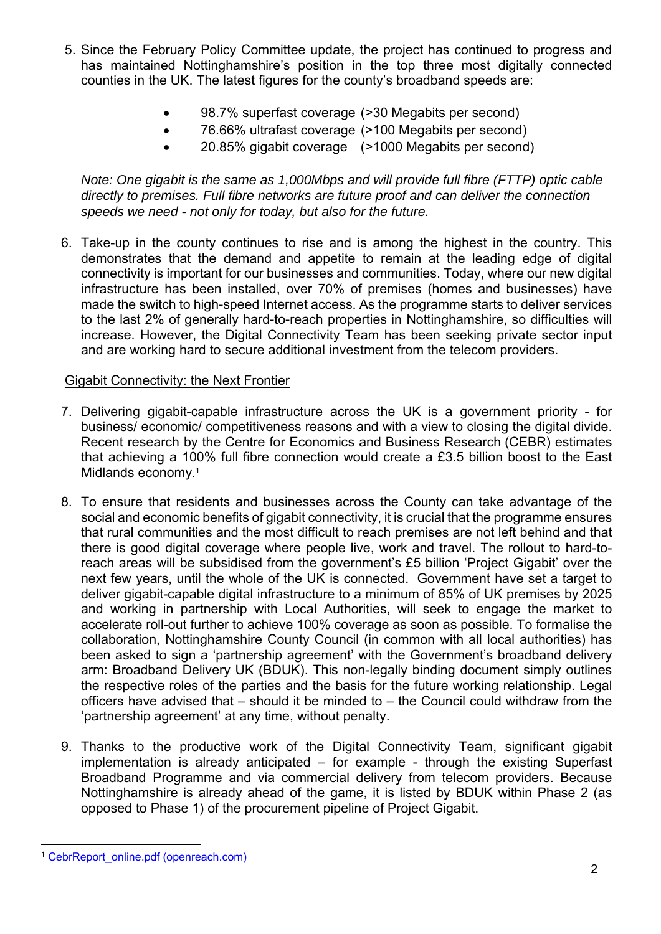- 5. Since the February Policy Committee update, the project has continued to progress and has maintained Nottinghamshire's position in the top three most digitally connected counties in the UK. The latest figures for the county's broadband speeds are:
	- 98.7% superfast coverage (>30 Megabits per second)
	- 76.66% ultrafast coverage (>100 Megabits per second)
	- 20.85% gigabit coverage (>1000 Megabits per second)

*Note: One gigabit is the same as 1,000Mbps and will provide full fibre (FTTP) optic cable directly to premises. Full fibre networks are future proof and can deliver the connection speeds we need - not only for today, but also for the future.* 

6. Take-up in the county continues to rise and is among the highest in the country. This demonstrates that the demand and appetite to remain at the leading edge of digital connectivity is important for our businesses and communities. Today, where our new digital infrastructure has been installed, over 70% of premises (homes and businesses) have made the switch to high-speed Internet access. As the programme starts to deliver services to the last 2% of generally hard-to-reach properties in Nottinghamshire, so difficulties will increase. However, the Digital Connectivity Team has been seeking private sector input and are working hard to secure additional investment from the telecom providers.

### Gigabit Connectivity: the Next Frontier

- 7. Delivering gigabit-capable infrastructure across the UK is a government priority for business/ economic/ competitiveness reasons and with a view to closing the digital divide. Recent research by the Centre for Economics and Business Research (CEBR) estimates that achieving a 100% full fibre connection would create a £3.5 billion boost to the East Midlands economy. 1
- 8. To ensure that residents and businesses across the County can take advantage of the social and economic benefits of gigabit connectivity, it is crucial that the programme ensures that rural communities and the most difficult to reach premises are not left behind and that there is good digital coverage where people live, work and travel. The rollout to hard-toreach areas will be subsidised from the government's £5 billion 'Project Gigabit' over the next few years, until the whole of the UK is connected. Government have set a target to deliver gigabit-capable digital infrastructure to a minimum of 85% of UK premises by 2025 and working in partnership with Local Authorities, will seek to engage the market to accelerate roll-out further to achieve 100% coverage as soon as possible. To formalise the collaboration, Nottinghamshire County Council (in common with all local authorities) has been asked to sign a 'partnership agreement' with the Government's broadband delivery arm: Broadband Delivery UK (BDUK). This non-legally binding document simply outlines the respective roles of the parties and the basis for the future working relationship. Legal officers have advised that – should it be minded to – the Council could withdraw from the 'partnership agreement' at any time, without penalty.
- 9. Thanks to the productive work of the Digital Connectivity Team, significant gigabit implementation is already anticipated – for example - through the existing Superfast Broadband Programme and via commercial delivery from telecom providers. Because Nottinghamshire is already ahead of the game, it is listed by BDUK within Phase 2 (as opposed to Phase 1) of the procurement pipeline of Project Gigabit.

CebrReport\_online.pdf (openreach.com)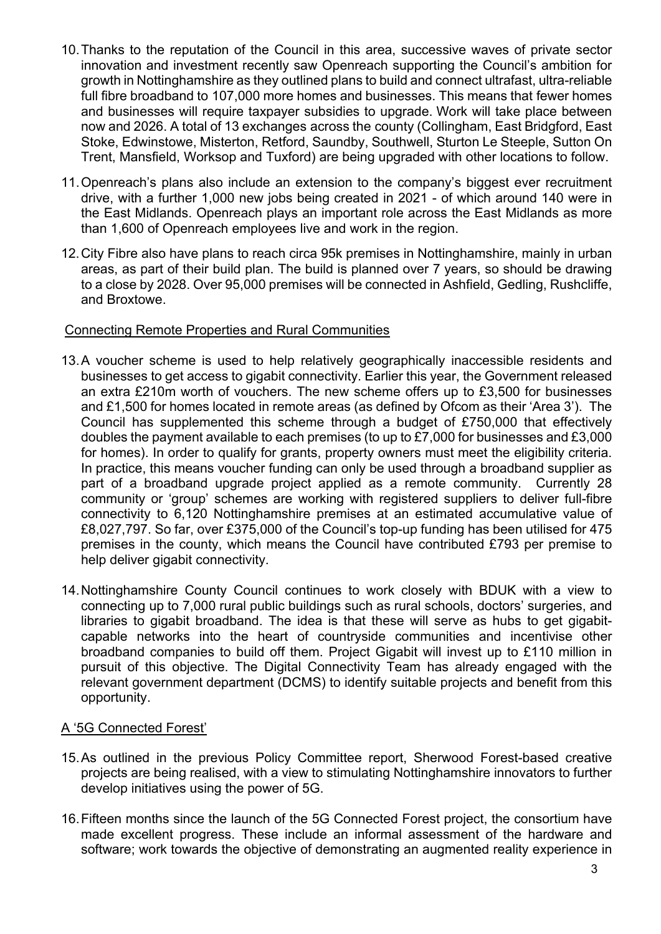- 10. Thanks to the reputation of the Council in this area, successive waves of private sector innovation and investment recently saw Openreach supporting the Council's ambition for growth in Nottinghamshire as they outlined plans to build and connect ultrafast, ultra-reliable full fibre broadband to 107,000 more homes and businesses. This means that fewer homes and businesses will require taxpayer subsidies to upgrade. Work will take place between now and 2026. A total of 13 exchanges across the county (Collingham, East Bridgford, East Stoke, Edwinstowe, Misterton, Retford, Saundby, Southwell, Sturton Le Steeple, Sutton On Trent, Mansfield, Worksop and Tuxford) are being upgraded with other locations to follow.
- 11. Openreach's plans also include an extension to the company's biggest ever recruitment drive, with a further 1,000 new jobs being created in 2021 - of which around 140 were in the East Midlands. Openreach plays an important role across the East Midlands as more than 1,600 of Openreach employees live and work in the region.
- 12. City Fibre also have plans to reach circa 95k premises in Nottinghamshire, mainly in urban areas, as part of their build plan. The build is planned over 7 years, so should be drawing to a close by 2028. Over 95,000 premises will be connected in Ashfield, Gedling, Rushcliffe, and Broxtowe.

### Connecting Remote Properties and Rural Communities

- 13. A voucher scheme is used to help relatively geographically inaccessible residents and businesses to get access to gigabit connectivity. Earlier this year, the Government released an extra £210m worth of vouchers. The new scheme offers up to £3,500 for businesses and £1,500 for homes located in remote areas (as defined by Ofcom as their 'Area 3'). The Council has supplemented this scheme through a budget of £750,000 that effectively doubles the payment available to each premises (to up to £7,000 for businesses and £3,000 for homes). In order to qualify for grants, property owners must meet the eligibility criteria. In practice, this means voucher funding can only be used through a broadband supplier as part of a broadband upgrade project applied as a remote community. Currently 28 community or 'group' schemes are working with registered suppliers to deliver full-fibre connectivity to 6,120 Nottinghamshire premises at an estimated accumulative value of £8,027,797. So far, over £375,000 of the Council's top-up funding has been utilised for 475 premises in the county, which means the Council have contributed £793 per premise to help deliver gigabit connectivity.
- 14. Nottinghamshire County Council continues to work closely with BDUK with a view to connecting up to 7,000 rural public buildings such as rural schools, doctors' surgeries, and libraries to gigabit broadband. The idea is that these will serve as hubs to get gigabitcapable networks into the heart of countryside communities and incentivise other broadband companies to build off them. Project Gigabit will invest up to £110 million in pursuit of this objective. The Digital Connectivity Team has already engaged with the relevant government department (DCMS) to identify suitable projects and benefit from this opportunity.

#### A '5G Connected Forest'

- 15. As outlined in the previous Policy Committee report, Sherwood Forest-based creative projects are being realised, with a view to stimulating Nottinghamshire innovators to further develop initiatives using the power of 5G.
- 16. Fifteen months since the launch of the 5G Connected Forest project, the consortium have made excellent progress. These include an informal assessment of the hardware and software; work towards the objective of demonstrating an augmented reality experience in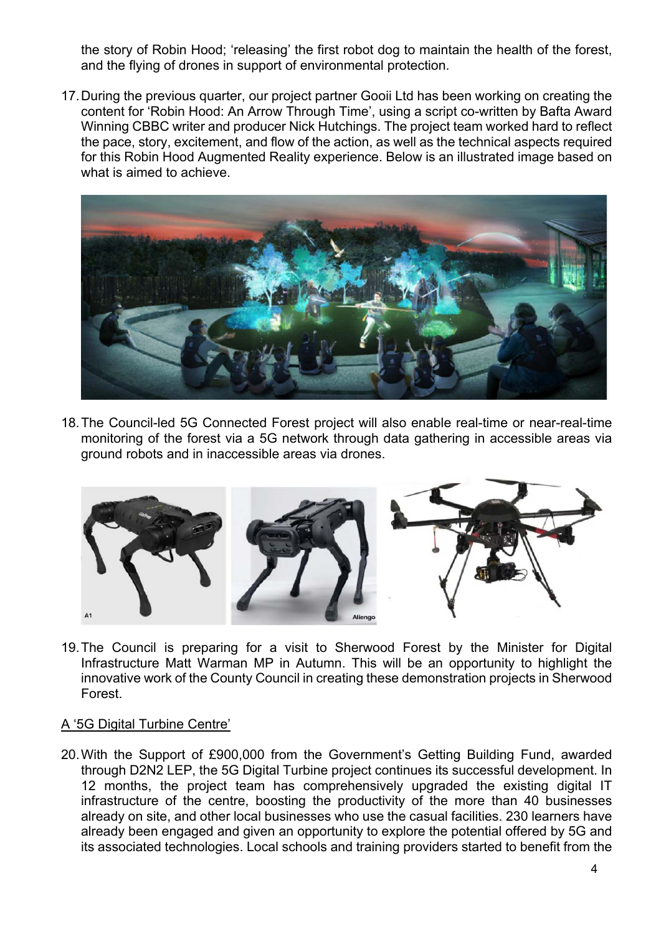the story of Robin Hood; 'releasing' the first robot dog to maintain the health of the forest, and the flying of drones in support of environmental protection.

17. During the previous quarter, our project partner Gooii Ltd has been working on creating the content for 'Robin Hood: An Arrow Through Time', using a script co-written by Bafta Award Winning CBBC writer and producer Nick Hutchings. The project team worked hard to reflect the pace, story, excitement, and flow of the action, as well as the technical aspects required for this Robin Hood Augmented Reality experience. Below is an illustrated image based on what is aimed to achieve.



18. The Council-led 5G Connected Forest project will also enable real-time or near-real-time monitoring of the forest via a 5G network through data gathering in accessible areas via ground robots and in inaccessible areas via drones.



19. The Council is preparing for a visit to Sherwood Forest by the Minister for Digital Infrastructure Matt Warman MP in Autumn. This will be an opportunity to highlight the innovative work of the County Council in creating these demonstration projects in Sherwood Forest.

### A '5G Digital Turbine Centre'

20. With the Support of £900,000 from the Government's Getting Building Fund, awarded through D2N2 LEP, the 5G Digital Turbine project continues its successful development. In 12 months, the project team has comprehensively upgraded the existing digital IT infrastructure of the centre, boosting the productivity of the more than 40 businesses already on site, and other local businesses who use the casual facilities. 230 learners have already been engaged and given an opportunity to explore the potential offered by 5G and its associated technologies. Local schools and training providers started to benefit from the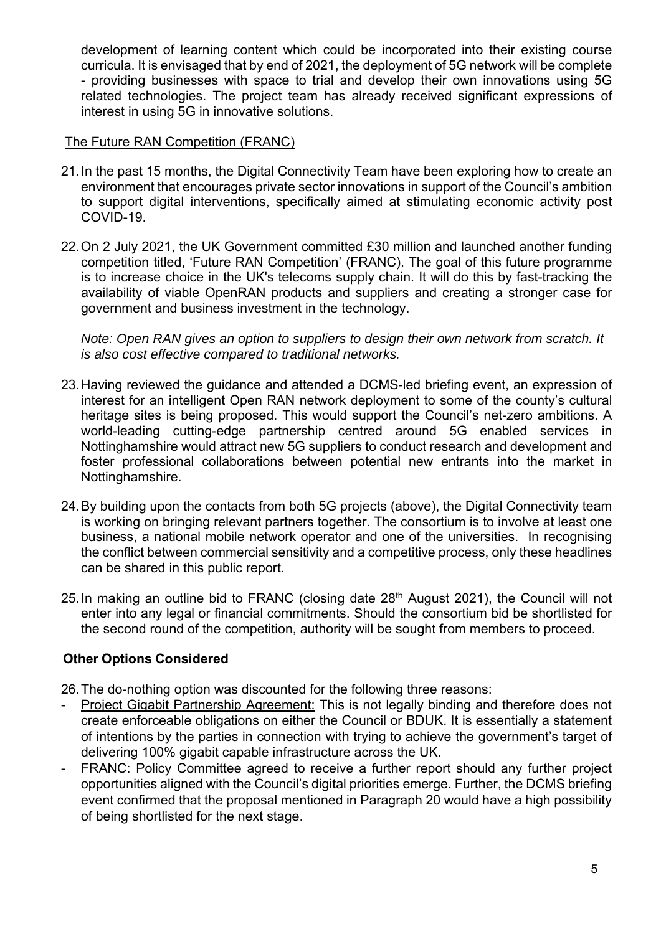development of learning content which could be incorporated into their existing course curricula. It is envisaged that by end of 2021, the deployment of 5G network will be complete - providing businesses with space to trial and develop their own innovations using 5G related technologies. The project team has already received significant expressions of interest in using 5G in innovative solutions.

#### The Future RAN Competition (FRANC)

- 21. In the past 15 months, the Digital Connectivity Team have been exploring how to create an environment that encourages private sector innovations in support of the Council's ambition to support digital interventions, specifically aimed at stimulating economic activity post COVID-19.
- 22. On 2 July 2021, the UK Government committed £30 million and launched another funding competition titled, 'Future RAN Competition' (FRANC). The goal of this future programme is to increase choice in the UK's telecoms supply chain. It will do this by fast-tracking the availability of viable OpenRAN products and suppliers and creating a stronger case for government and business investment in the technology.

*Note: Open RAN gives an option to suppliers to design their own network from scratch. It is also cost effective compared to traditional networks.*

- 23. Having reviewed the guidance and attended a DCMS-led briefing event, an expression of interest for an intelligent Open RAN network deployment to some of the county's cultural heritage sites is being proposed. This would support the Council's net-zero ambitions. A world-leading cutting-edge partnership centred around 5G enabled services in Nottinghamshire would attract new 5G suppliers to conduct research and development and foster professional collaborations between potential new entrants into the market in Nottinghamshire.
- 24. By building upon the contacts from both 5G projects (above), the Digital Connectivity team is working on bringing relevant partners together. The consortium is to involve at least one business, a national mobile network operator and one of the universities. In recognising the conflict between commercial sensitivity and a competitive process, only these headlines can be shared in this public report.
- 25. In making an outline bid to FRANC (closing date 28<sup>th</sup> August 2021), the Council will not enter into any legal or financial commitments. Should the consortium bid be shortlisted for the second round of the competition, authority will be sought from members to proceed.

## **Other Options Considered**

26. The do-nothing option was discounted for the following three reasons:

- Project Gigabit Partnership Agreement: This is not legally binding and therefore does not create enforceable obligations on either the Council or BDUK. It is essentially a statement of intentions by the parties in connection with trying to achieve the government's target of delivering 100% gigabit capable infrastructure across the UK.
- FRANC: Policy Committee agreed to receive a further report should any further project opportunities aligned with the Council's digital priorities emerge. Further, the DCMS briefing event confirmed that the proposal mentioned in Paragraph 20 would have a high possibility of being shortlisted for the next stage.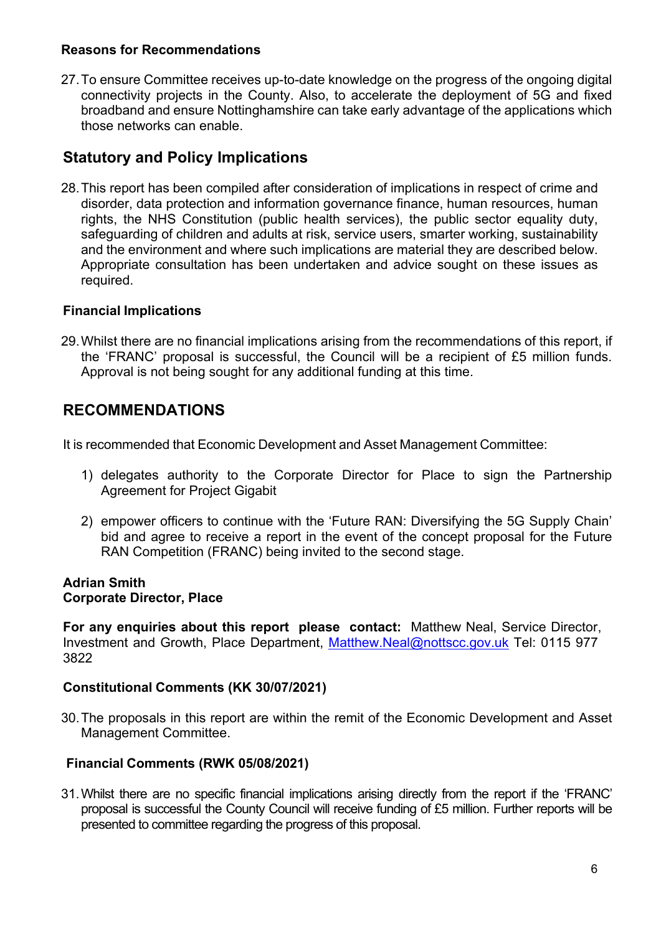#### **Reasons for Recommendations**

27. To ensure Committee receives up-to-date knowledge on the progress of the ongoing digital connectivity projects in the County. Also, to accelerate the deployment of 5G and fixed broadband and ensure Nottinghamshire can take early advantage of the applications which those networks can enable.

# **Statutory and Policy Implications**

28. This report has been compiled after consideration of implications in respect of crime and disorder, data protection and information governance finance, human resources, human rights, the NHS Constitution (public health services), the public sector equality duty, safeguarding of children and adults at risk, service users, smarter working, sustainability and the environment and where such implications are material they are described below. Appropriate consultation has been undertaken and advice sought on these issues as required.

## **Financial Implications**

29. Whilst there are no financial implications arising from the recommendations of this report, if the 'FRANC' proposal is successful, the Council will be a recipient of £5 million funds. Approval is not being sought for any additional funding at this time.

## **RECOMMENDATIONS**

It is recommended that Economic Development and Asset Management Committee:

- 1) delegates authority to the Corporate Director for Place to sign the Partnership Agreement for Project Gigabit
- 2) empower officers to continue with the 'Future RAN: Diversifying the 5G Supply Chain' bid and agree to receive a report in the event of the concept proposal for the Future RAN Competition (FRANC) being invited to the second stage.

#### **Adrian Smith Corporate Director, Place**

**For any enquiries about this report please contact:** Matthew Neal, Service Director , Investment and Growth, Place Department, Matthew.Neal@nottscc.gov.uk Tel: 0115 977 3822

## **Constitutional Comments (KK 30/07/2021)**

30. The proposals in this report are within the remit of the Economic Development and Asset Management Committee.

## **Financial Comments (RWK 05/08/2021)**

31. Whilst there are no specific financial implications arising directly from the report if the 'FRANC' proposal is successful the County Council will receive funding of £5 million. Further reports will be presented to committee regarding the progress of this proposal.